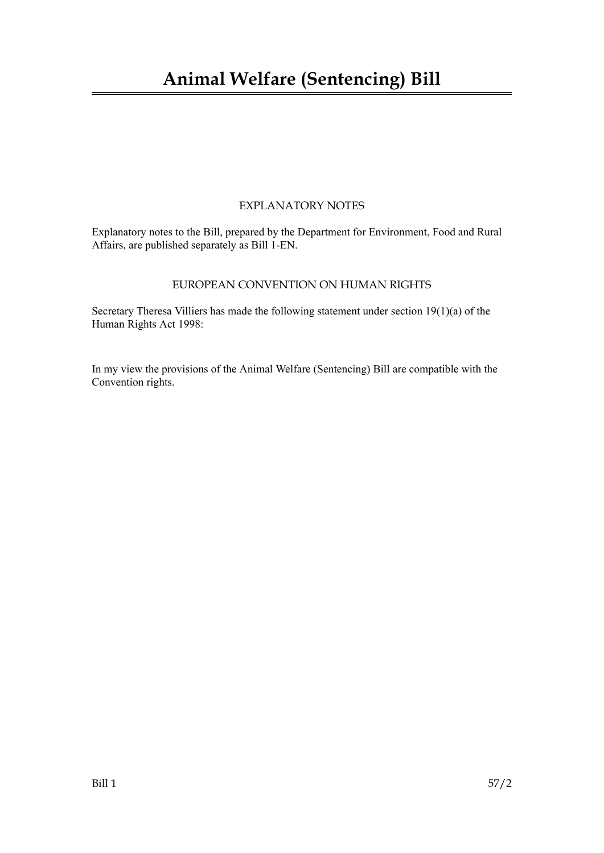## **Animal Welfare (Sentencing) Bill**

### EXPLANATORY NOTES

Explanatory notes to the Bill, prepared by the Department for Environment, Food and Rural Affairs, are published separately as Bill 1-EN.

### EUROPEAN CONVENTION ON HUMAN RIGHTS

Secretary Theresa Villiers has made the following statement under section 19(1)(a) of the Human Rights Act 1998:

In my view the provisions of the Animal Welfare (Sentencing) Bill are compatible with the Convention rights.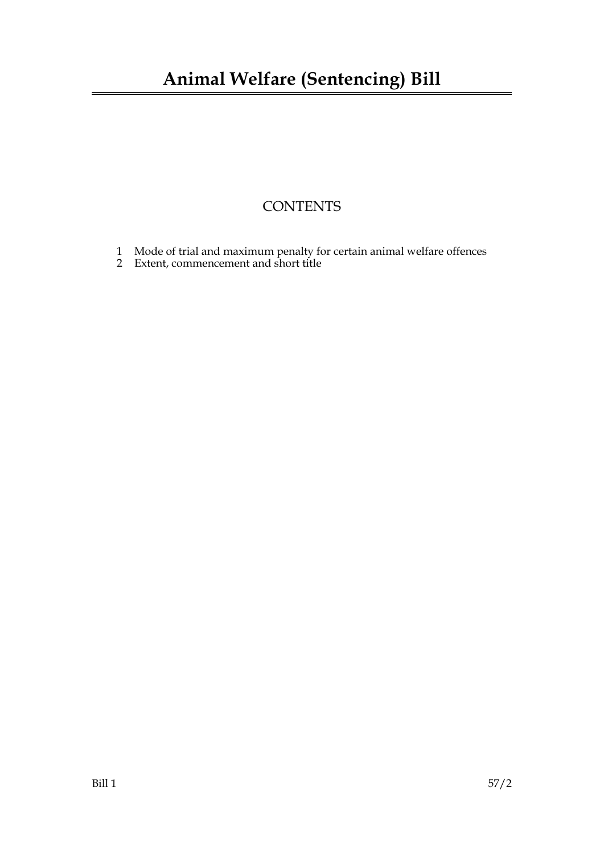### **CONTENTS**

- 1 Mode of trial and maximum penalty for certain animal welfare offences
- 2 Extent, commencement and short title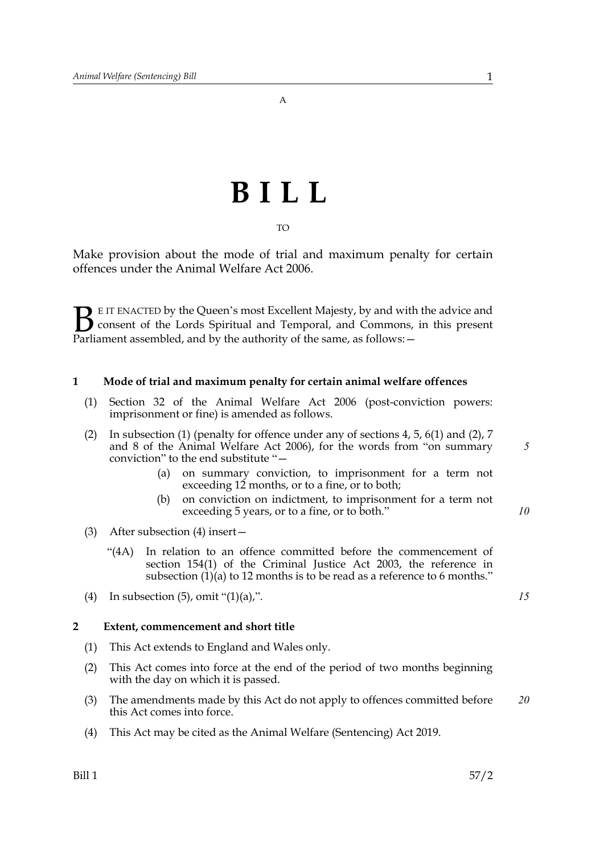A

# **BILL**

TO

Make provision about the mode of trial and maximum penalty for certain offences under the Animal Welfare Act 2006.

E IT ENACTED by the Queen's most Excellent Majesty, by and with the advice and consent of the Lords Spiritual and Temporal, and Commons, in this present **B** E IT ENACTED by the Queen's most Excellent Majesty, by and with consent of the Lords Spiritual and Temporal, and Commons, Parliament assembled, and by the authority of the same, as follows:  $-$ 

### **1 Mode of trial and maximum penalty for certain animal welfare offences**

- (1) Section 32 of the Animal Welfare Act 2006 (post-conviction powers: imprisonment or fine) is amended as follows.
- (2) In subsection (1) (penalty for offence under any of sections 4, 5, 6(1) and (2), 7 and 8 of the Animal Welfare Act 2006), for the words from "on summary conviction" to the end substitute "—
	- (a) on summary conviction, to imprisonment for a term not exceeding 12 months, or to a fine, or to both;
	- (b) on conviction on indictment, to imprisonment for a term not exceeding 5 years, or to a fine, or to both."
- (3) After subsection (4) insert—
	- "(4A) In relation to an offence committed before the commencement of section 154(1) of the Criminal Justice Act 2003, the reference in subsection (1)(a) to 12 months is to be read as a reference to 6 months."
- (4) In subsection  $(5)$ , omit " $(1)(a)$ ,".

#### **2 Extent, commencement and short title**

- (1) This Act extends to England and Wales only.
- (2) This Act comes into force at the end of the period of two months beginning with the day on which it is passed.
- (3) The amendments made by this Act do not apply to offences committed before this Act comes into force. *20*
- (4) This Act may be cited as the Animal Welfare (Sentencing) Act 2019.

*5*

*10*